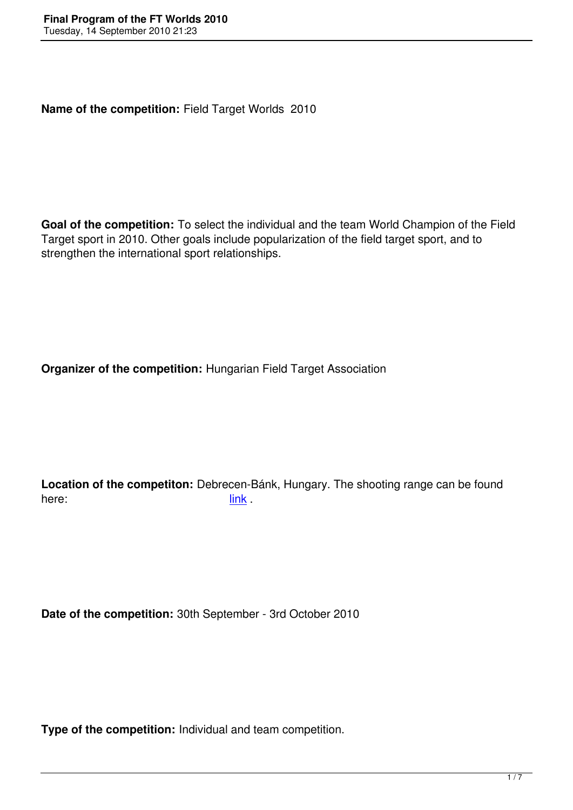**Name of the competition:** Field Target Worlds 2010

**Goal of the competition:** To select the individual and the team World Champion of the Field Target sport in 2010. Other goals include popularization of the field target sport, and to strengthen the international sport relationships.

**Organizer of the competition:** Hungarian Field Target Association

**Location of the competiton:** Debrecen-Bánk, Hungary. The shooting range can be found here: link .

**Date of the competition:** 30th September - 3rd October 2010

**Type of the competition:** Individual and team competition.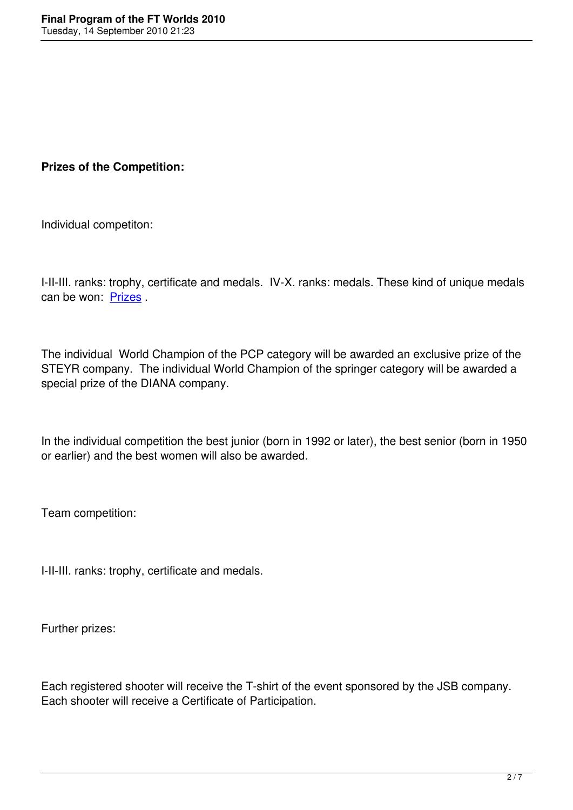**Prizes of the Competition:**

Individual competiton:

I-II-III. ranks: trophy, certificate and medals. IV-X. ranks: medals. These kind of unique medals can be won: Prizes .

The individu[al Worl](ftworlds2010/prizes2.jpg)d Champion of the PCP category will be awarded an exclusive prize of the STEYR company. The individual World Champion of the springer category will be awarded a special prize of the DIANA company.

In the individual competition the best junior (born in 1992 or later), the best senior (born in 1950 or earlier) and the best women will also be awarded.

Team competition:

I-II-III. ranks: trophy, certificate and medals.

Further prizes:

Each registered shooter will receive the T-shirt of the event sponsored by the JSB company. Each shooter will receive a Certificate of Participation.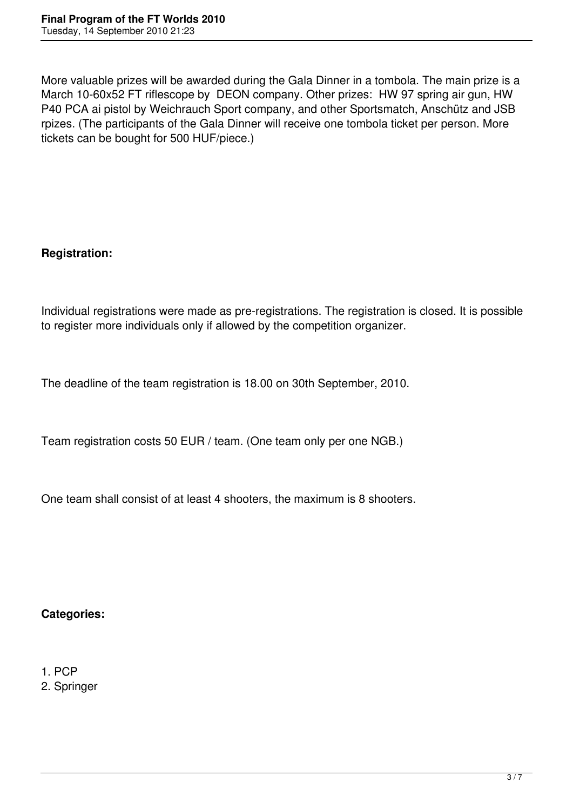More valuable prizes will be awarded during the Gala Dinner in a tombola. The main prize is a March 10-60x52 FT riflescope by DEON company. Other prizes: HW 97 spring air gun, HW P40 PCA ai pistol by Weichrauch Sport company, and other Sportsmatch, Anschütz and JSB rpizes. (The participants of the Gala Dinner will receive one tombola ticket per person. More tickets can be bought for 500 HUF/piece.)

# **Registration:**

Individual registrations were made as pre-registrations. The registration is closed. It is possible to register more individuals only if allowed by the competition organizer.

The deadline of the team registration is 18.00 on 30th September, 2010.

Team registration costs 50 EUR / team. (One team only per one NGB.)

One team shall consist of at least 4 shooters, the maximum is 8 shooters.

### **Categories:**

#### 1. PCP

2. Springer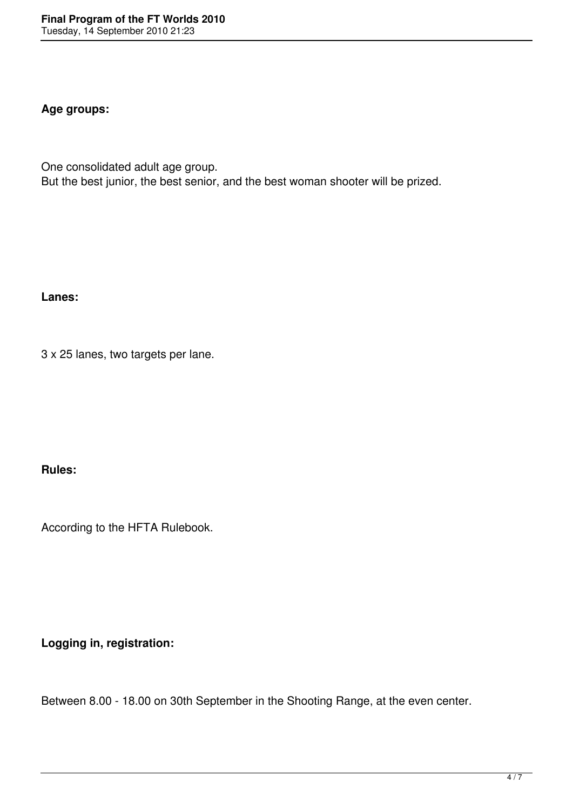### **Age groups:**

One consolidated adult age group. But the best junior, the best senior, and the best woman shooter will be prized.

**Lanes:**

3 x 25 lanes, two targets per lane.

**Rules:**

According to the HFTA Rulebook.

**Logging in, registration:**

Between 8.00 - 18.00 on 30th September in the Shooting Range, at the even center.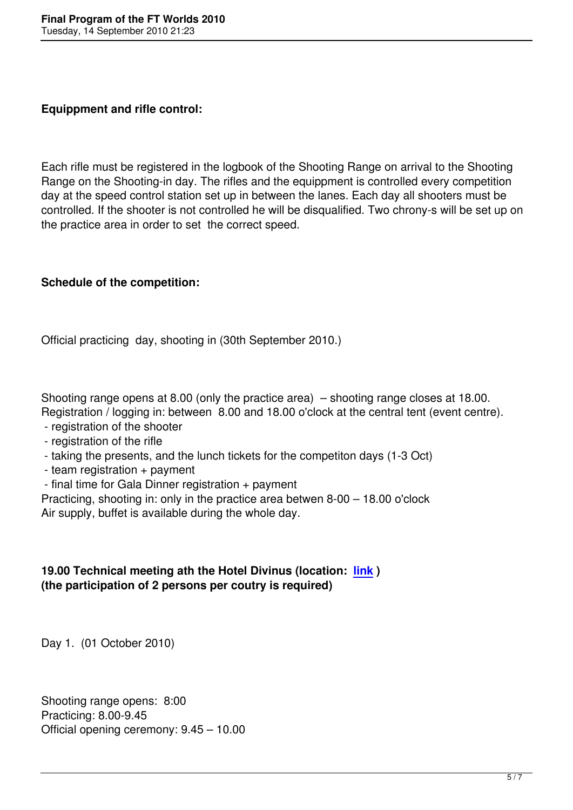Each rifle must be registered in the logbook of the Shooting Range on arrival to the Shooting Range on the Shooting-in day. The rifles and the equippment is controlled every competition day at the speed control station set up in between the lanes. Each day all shooters must be controlled. If the shooter is not controlled he will be disqualified. Two chrony-s will be set up on the practice area in order to set the correct speed.

## **Schedule of the competition:**

Official practicing day, shooting in (30th September 2010.)

Shooting range opens at 8.00 (only the practice area) – shooting range closes at 18.00. Registration / logging in: between 8.00 and 18.00 o'clock at the central tent (event centre).

- registration of the shooter
- registration of the rifle
- taking the presents, and the lunch tickets for the competiton days (1-3 Oct)
- team registration + payment
- final time for Gala Dinner registration + payment

Practicing, shooting in: only in the practice area betwen 8-00 – 18.00 o'clock Air supply, buffet is available during the whole day.

## **19.00 Technical meeting ath the Hotel Divinus (location: link ) (the participation of 2 persons per coutry is required)**

Day 1. (01 October 2010)

Shooting range opens: 8:00 Practicing: 8.00-9.45 Official opening ceremony: 9.45 – 10.00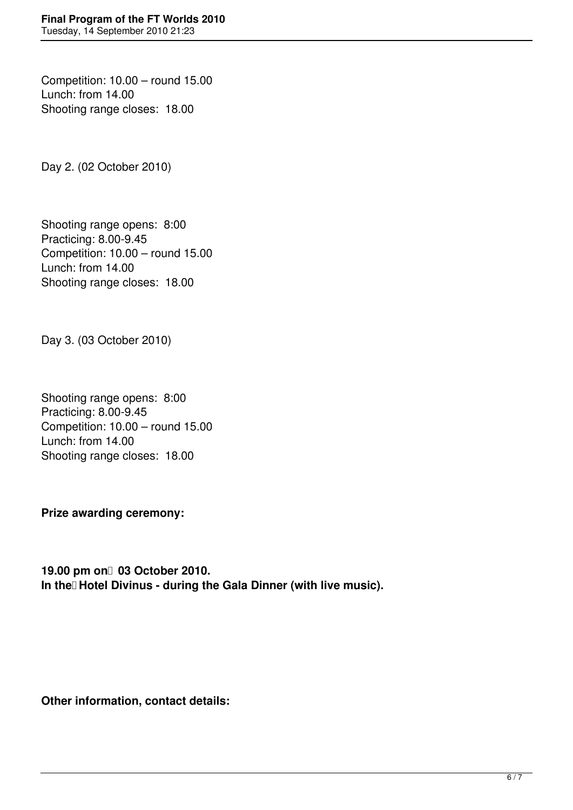Competition: 10.00 – round 15.00 Lunch: from 14.00 Shooting range closes: 18.00

Day 2. (02 October 2010)

Shooting range opens: 8:00 Practicing: 8.00-9.45 Competition: 10.00 – round 15.00 Lunch: from 14.00 Shooting range closes: 18.00

Day 3. (03 October 2010)

Shooting range opens: 8:00 Practicing: 8.00-9.45 Competition: 10.00 – round 15.00 Lunch: from 14.00 Shooting range closes: 18.00

**Prize awarding ceremony:**

19.00 pm on 03 October 2010. In the Hotel Divinus - during the Gala Dinner (with live music).

**Other information, contact details:**